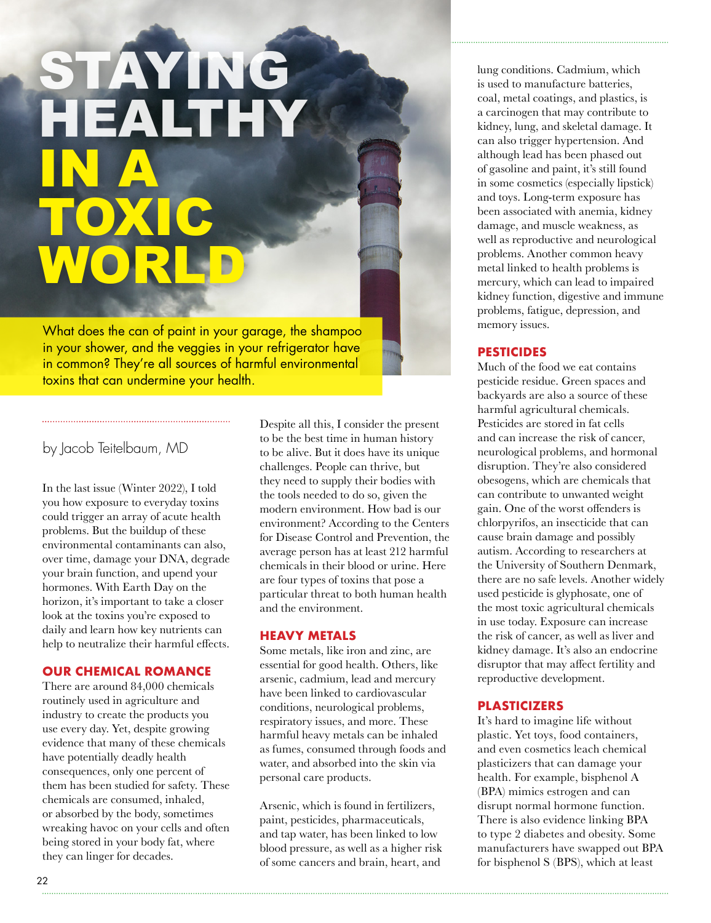# STAYING HEALTHY IN A TOXIC WORLD

What does the can of paint in your garage, the shampoo in your shower, and the veggies in your refrigerator have in common? They're all sources of harmful environmental toxins that can undermine your health.

# by Jacob Teitelbaum, MD

In the last issue (Winter 2022), I told you how exposure to everyday toxins could trigger an array of acute health problems. But the buildup of these environmental contaminants can also, over time, damage your DNA, degrade your brain function, and upend your hormones. With Earth Day on the horizon, it's important to take a closer look at the toxins you're exposed to daily and learn how key nutrients can help to neutralize their harmful effects.

### **OUR CHEMICAL ROMANCE**

There are around 84,000 chemicals routinely used in agriculture and industry to create the products you use every day. Yet, despite growing evidence that many of these chemicals have potentially deadly health consequences, only one percent of them has been studied for safety. These chemicals are consumed, inhaled, or absorbed by the body, sometimes wreaking havoc on your cells and often being stored in your body fat, where they can linger for decades.

Despite all this, I consider the present to be the best time in human history to be alive. But it does have its unique challenges. People can thrive, but they need to supply their bodies with the tools needed to do so, given the modern environment. How bad is our environment? According to the Centers for Disease Control and Prevention, the average person has at least 212 harmful chemicals in their blood or urine. Here are four types of toxins that pose a particular threat to both human health and the environment.

### **HEAVY METALS**

Some metals, like iron and zinc, are essential for good health. Others, like arsenic, cadmium, lead and mercury have been linked to cardiovascular conditions, neurological problems, respiratory issues, and more. These harmful heavy metals can be inhaled as fumes, consumed through foods and water, and absorbed into the skin via personal care products.

Arsenic, which is found in fertilizers, paint, pesticides, pharmaceuticals, and tap water, has been linked to low blood pressure, as well as a higher risk of some cancers and brain, heart, and

lung conditions. Cadmium, which is used to manufacture batteries, coal, metal coatings, and plastics, is a carcinogen that may contribute to kidney, lung, and skeletal damage. It can also trigger hypertension. And although lead has been phased out of gasoline and paint, it's still found in some cosmetics (especially lipstick) and toys. Long-term exposure has been associated with anemia, kidney damage, and muscle weakness, as well as reproductive and neurological problems. Another common heavy metal linked to health problems is mercury, which can lead to impaired kidney function, digestive and immune problems, fatigue, depression, and memory issues.

## **PESTICIDES**

Much of the food we eat contains pesticide residue. Green spaces and backyards are also a source of these harmful agricultural chemicals. Pesticides are stored in fat cells and can increase the risk of cancer, neurological problems, and hormonal disruption. They're also considered obesogens, which are chemicals that can contribute to unwanted weight gain. One of the worst offenders is chlorpyrifos, an insecticide that can cause brain damage and possibly autism. According to researchers at the University of Southern Denmark, there are no safe levels. Another widely used pesticide is glyphosate, one of the most toxic agricultural chemicals in use today. Exposure can increase the risk of cancer, as well as liver and kidney damage. It's also an endocrine disruptor that may affect fertility and reproductive development.

## **PLASTICIZERS**

It's hard to imagine life without plastic. Yet toys, food containers, and even cosmetics leach chemical plasticizers that can damage your health. For example, bisphenol A (BPA) mimics estrogen and can disrupt normal hormone function. There is also evidence linking BPA to type 2 diabetes and obesity. Some manufacturers have swapped out BPA for bisphenol S (BPS), which at least